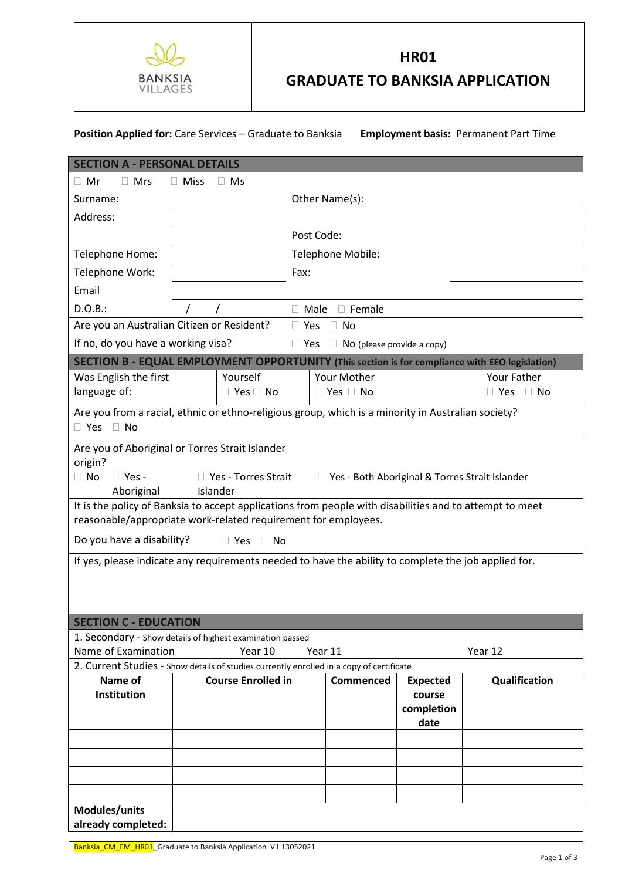

## **HR01**

**GRADUATE TO BANKSIA APPLICATION** 

## **Position Applied for:** Care Services – Graduate to Banksia **Employment basis:** Permanent Part Time

| <b>SECTION A - PERSONAL DETAILS</b>                                                                                                                                                            |                                                                      |                              |                                                 |                         |                                                 |                         |  |  |
|------------------------------------------------------------------------------------------------------------------------------------------------------------------------------------------------|----------------------------------------------------------------------|------------------------------|-------------------------------------------------|-------------------------|-------------------------------------------------|-------------------------|--|--|
| $\Box$ Mrs<br>$\Box$ Mr<br>$\Box$ Miss<br>$\Box$ Ms                                                                                                                                            |                                                                      |                              |                                                 |                         |                                                 |                         |  |  |
| Surname:                                                                                                                                                                                       |                                                                      |                              | Other Name(s):                                  |                         |                                                 |                         |  |  |
| Address:                                                                                                                                                                                       |                                                                      |                              |                                                 |                         |                                                 |                         |  |  |
|                                                                                                                                                                                                |                                                                      |                              |                                                 | Post Code:              |                                                 |                         |  |  |
| Telephone Home:                                                                                                                                                                                |                                                                      |                              | Telephone Mobile:                               |                         |                                                 |                         |  |  |
| Telephone Work:                                                                                                                                                                                |                                                                      |                              |                                                 | Fax:                    |                                                 |                         |  |  |
| Email                                                                                                                                                                                          |                                                                      |                              |                                                 |                         |                                                 |                         |  |  |
| D.O.B.:                                                                                                                                                                                        |                                                                      | $\Box$ Male<br>$\Box$ Female |                                                 |                         |                                                 |                         |  |  |
| Are you an Australian Citizen or Resident?                                                                                                                                                     |                                                                      |                              |                                                 | $\Box$ Yes<br>$\Box$ No |                                                 |                         |  |  |
| If no, do you have a working visa?                                                                                                                                                             |                                                                      |                              | $\Box$ NO (please provide a copy)<br>$\Box$ Yes |                         |                                                 |                         |  |  |
| SECTION B - EQUAL EMPLOYMENT OPPORTUNITY (This section is for compliance with EEO legislation)                                                                                                 |                                                                      |                              |                                                 |                         |                                                 |                         |  |  |
| Was English the first                                                                                                                                                                          |                                                                      | Yourself                     | Your Mother                                     |                         |                                                 | Your Father             |  |  |
| language of:                                                                                                                                                                                   | $\Box$ Yes $\Box$ No                                                 |                              |                                                 | $\Box$ Yes $\Box$ No    |                                                 | $\Box$ No<br>$\Box$ Yes |  |  |
| Are you from a racial, ethnic or ethno-religious group, which is a minority in Australian society?<br>$\Box$ Yes<br>$\Box$ No                                                                  |                                                                      |                              |                                                 |                         |                                                 |                         |  |  |
| Are you of Aboriginal or Torres Strait Islander<br>origin?<br>$\Box$ No<br>$\Box$ Yes -<br>□ Yes - Torres Strait<br>□ Yes - Both Aboriginal & Torres Strait Islander<br>Aboriginal<br>Islander |                                                                      |                              |                                                 |                         |                                                 |                         |  |  |
| It is the policy of Banksia to accept applications from people with disabilities and to attempt to meet<br>reasonable/appropriate work-related requirement for employees.                      |                                                                      |                              |                                                 |                         |                                                 |                         |  |  |
| Do you have a disability?<br>$\Box$ Yes $\Box$ No                                                                                                                                              |                                                                      |                              |                                                 |                         |                                                 |                         |  |  |
| If yes, please indicate any requirements needed to have the ability to complete the job applied for.                                                                                           |                                                                      |                              |                                                 |                         |                                                 |                         |  |  |
|                                                                                                                                                                                                |                                                                      |                              |                                                 |                         |                                                 |                         |  |  |
| <b>SECTION C - EDUCATION</b>                                                                                                                                                                   |                                                                      |                              |                                                 |                         |                                                 |                         |  |  |
| Name of Examination                                                                                                                                                                            | 1. Secondary - Show details of highest examination passed<br>Year 10 |                              |                                                 |                         |                                                 |                         |  |  |
| Year 11<br>Year 12<br>2. Current Studies - Show details of studies currently enrolled in a copy of certificate                                                                                 |                                                                      |                              |                                                 |                         |                                                 |                         |  |  |
| Name of<br><b>Institution</b>                                                                                                                                                                  |                                                                      | <b>Course Enrolled in</b>    |                                                 | <b>Commenced</b>        | <b>Expected</b><br>course<br>completion<br>date | Qualification           |  |  |
|                                                                                                                                                                                                |                                                                      |                              |                                                 |                         |                                                 |                         |  |  |
|                                                                                                                                                                                                |                                                                      |                              |                                                 |                         |                                                 |                         |  |  |
|                                                                                                                                                                                                |                                                                      |                              |                                                 |                         |                                                 |                         |  |  |
|                                                                                                                                                                                                |                                                                      |                              |                                                 |                         |                                                 |                         |  |  |
| Modules/units                                                                                                                                                                                  |                                                                      |                              |                                                 |                         |                                                 |                         |  |  |
| already completed:                                                                                                                                                                             |                                                                      |                              |                                                 |                         |                                                 |                         |  |  |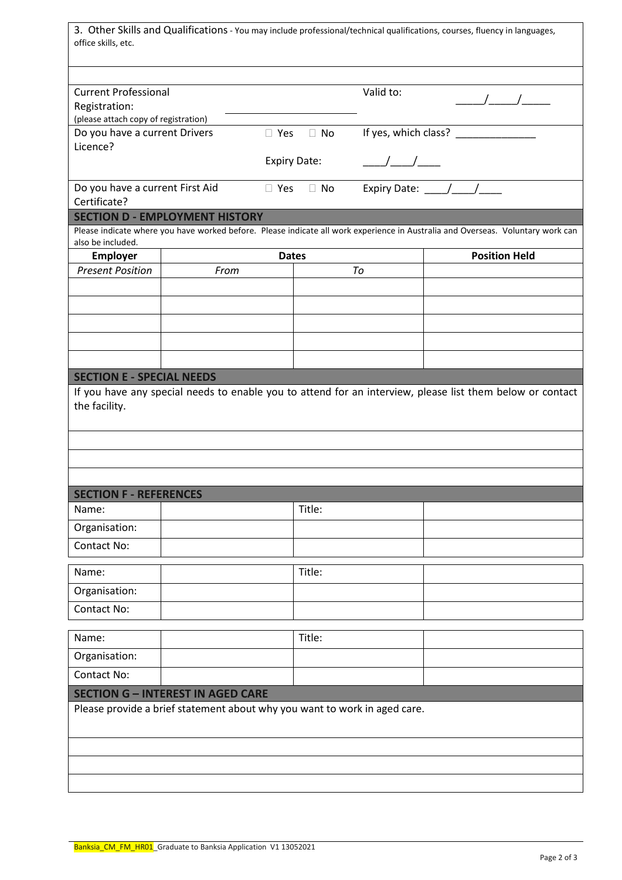| 3. Other Skills and Qualifications - You may include professional/technical qualifications, courses, fluency in languages,<br>office skills, etc. |                                                                           |                     |           |                                 |                                                                                                                                 |  |  |  |
|---------------------------------------------------------------------------------------------------------------------------------------------------|---------------------------------------------------------------------------|---------------------|-----------|---------------------------------|---------------------------------------------------------------------------------------------------------------------------------|--|--|--|
|                                                                                                                                                   |                                                                           |                     |           |                                 |                                                                                                                                 |  |  |  |
| <b>Current Professional</b>                                                                                                                       |                                                                           | Valid to:           |           |                                 |                                                                                                                                 |  |  |  |
| Registration:<br>(please attach copy of registration)                                                                                             |                                                                           |                     |           |                                 |                                                                                                                                 |  |  |  |
| Do you have a current Drivers                                                                                                                     | $\Box$ Yes                                                                | $\Box$ No           |           | If yes, which class? __________ |                                                                                                                                 |  |  |  |
| Licence?                                                                                                                                          |                                                                           |                     |           |                                 |                                                                                                                                 |  |  |  |
|                                                                                                                                                   |                                                                           | <b>Expiry Date:</b> |           | $\frac{1}{2}$                   |                                                                                                                                 |  |  |  |
| Do you have a current First Aid                                                                                                                   |                                                                           | $\Box$ Yes          | $\Box$ No |                                 | Expiry Date: $\frac{1}{\sqrt{1-\frac{1}{2}}}$                                                                                   |  |  |  |
| Certificate?                                                                                                                                      |                                                                           |                     |           |                                 |                                                                                                                                 |  |  |  |
|                                                                                                                                                   | <b>SECTION D - EMPLOYMENT HISTORY</b>                                     |                     |           |                                 | Please indicate where you have worked before. Please indicate all work experience in Australia and Overseas. Voluntary work can |  |  |  |
| also be included.                                                                                                                                 |                                                                           |                     |           |                                 |                                                                                                                                 |  |  |  |
| <b>Employer</b>                                                                                                                                   |                                                                           | <b>Dates</b>        |           |                                 | <b>Position Held</b>                                                                                                            |  |  |  |
| <b>Present Position</b>                                                                                                                           | From                                                                      |                     |           | To                              |                                                                                                                                 |  |  |  |
|                                                                                                                                                   |                                                                           |                     |           |                                 |                                                                                                                                 |  |  |  |
|                                                                                                                                                   |                                                                           |                     |           |                                 |                                                                                                                                 |  |  |  |
|                                                                                                                                                   |                                                                           |                     |           |                                 |                                                                                                                                 |  |  |  |
|                                                                                                                                                   |                                                                           |                     |           |                                 |                                                                                                                                 |  |  |  |
|                                                                                                                                                   |                                                                           |                     |           |                                 |                                                                                                                                 |  |  |  |
| <b>SECTION E - SPECIAL NEEDS</b>                                                                                                                  |                                                                           |                     |           |                                 |                                                                                                                                 |  |  |  |
| the facility.                                                                                                                                     |                                                                           |                     |           |                                 | If you have any special needs to enable you to attend for an interview, please list them below or contact                       |  |  |  |
|                                                                                                                                                   |                                                                           |                     |           |                                 |                                                                                                                                 |  |  |  |
| <b>SECTION F - REFERENCES</b>                                                                                                                     |                                                                           |                     |           |                                 |                                                                                                                                 |  |  |  |
| Name:                                                                                                                                             |                                                                           |                     | Title:    |                                 |                                                                                                                                 |  |  |  |
| Organisation:                                                                                                                                     |                                                                           |                     |           |                                 |                                                                                                                                 |  |  |  |
| Contact No:                                                                                                                                       |                                                                           |                     |           |                                 |                                                                                                                                 |  |  |  |
| Name:                                                                                                                                             |                                                                           |                     | Title:    |                                 |                                                                                                                                 |  |  |  |
| Organisation:                                                                                                                                     |                                                                           |                     |           |                                 |                                                                                                                                 |  |  |  |
| Contact No:                                                                                                                                       |                                                                           |                     |           |                                 |                                                                                                                                 |  |  |  |
|                                                                                                                                                   |                                                                           |                     |           |                                 |                                                                                                                                 |  |  |  |
| Name:                                                                                                                                             |                                                                           |                     | Title:    |                                 |                                                                                                                                 |  |  |  |
| Organisation:                                                                                                                                     |                                                                           |                     |           |                                 |                                                                                                                                 |  |  |  |
| Contact No:                                                                                                                                       |                                                                           |                     |           |                                 |                                                                                                                                 |  |  |  |
|                                                                                                                                                   | <b>SECTION G - INTEREST IN AGED CARE</b>                                  |                     |           |                                 |                                                                                                                                 |  |  |  |
|                                                                                                                                                   | Please provide a brief statement about why you want to work in aged care. |                     |           |                                 |                                                                                                                                 |  |  |  |
|                                                                                                                                                   |                                                                           |                     |           |                                 |                                                                                                                                 |  |  |  |
|                                                                                                                                                   |                                                                           |                     |           |                                 |                                                                                                                                 |  |  |  |
|                                                                                                                                                   |                                                                           |                     |           |                                 |                                                                                                                                 |  |  |  |
|                                                                                                                                                   |                                                                           |                     |           |                                 |                                                                                                                                 |  |  |  |